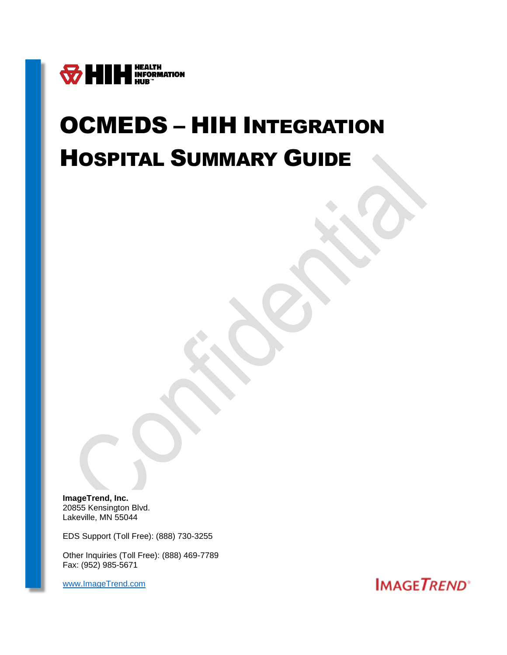

# OCMEDS – HIH INTEGRATION HOSPITAL SUMMARY GUIDE

**ImageTrend, Inc.** 20855 Kensington Blvd. Lakeville, MN 55044

EDS Support (Toll Free): (888) 730-3255

Other Inquiries (Toll Free): (888) 469-7789 Fax: (952) 985-5671

[www.ImageTrend.com](file:///C:/Users/jnielsen/Documents/Custom%20Office%20Templates/www.ImageTrend.com)

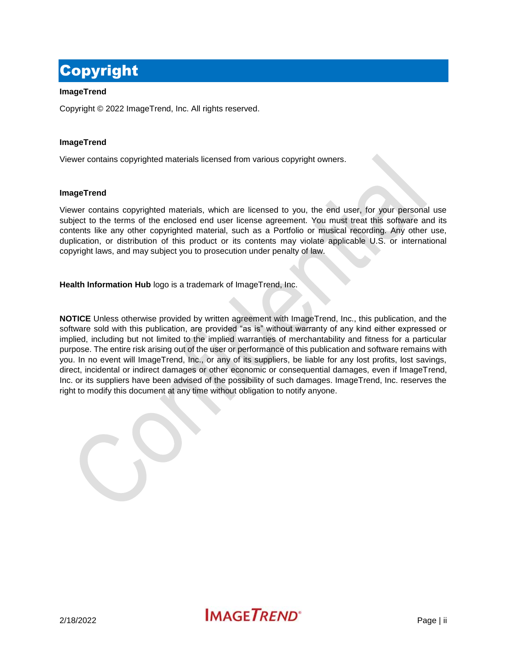# <span id="page-1-0"></span>Copyright

### **ImageTrend**

Copyright © 2022 ImageTrend, Inc. All rights reserved.

### **ImageTrend**

Viewer contains copyrighted materials licensed from various copyright owners.

### **ImageTrend**

Viewer contains copyrighted materials, which are licensed to you, the end user, for your personal use subject to the terms of the enclosed end user license agreement. You must treat this software and its contents like any other copyrighted material, such as a Portfolio or musical recording. Any other use, duplication, or distribution of this product or its contents may violate applicable U.S. or international copyright laws, and may subject you to prosecution under penalty of law.

**Health Information Hub** logo is a trademark of ImageTrend, Inc.

**NOTICE** Unless otherwise provided by written agreement with ImageTrend, Inc., this publication, and the software sold with this publication, are provided "as is" without warranty of any kind either expressed or implied, including but not limited to the implied warranties of merchantability and fitness for a particular purpose. The entire risk arising out of the user or performance of this publication and software remains with you. In no event will ImageTrend, Inc., or any of its suppliers, be liable for any lost profits, lost savings, direct, incidental or indirect damages or other economic or consequential damages, even if ImageTrend, Inc. or its suppliers have been advised of the possibility of such damages. ImageTrend, Inc. reserves the right to modify this document at any time without obligation to notify anyone.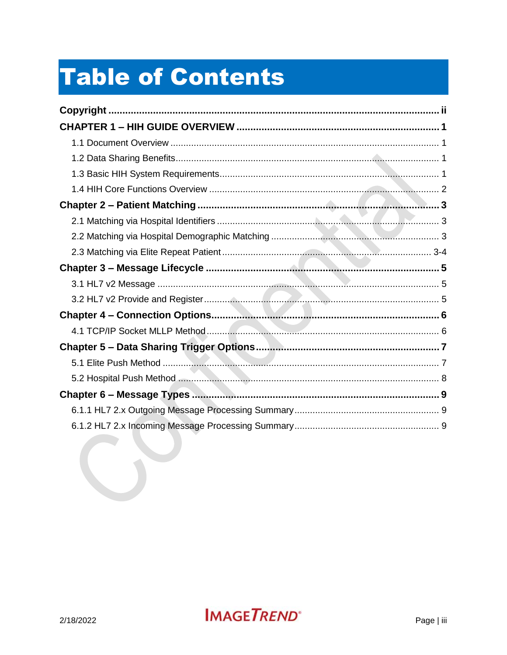# **Table of Contents**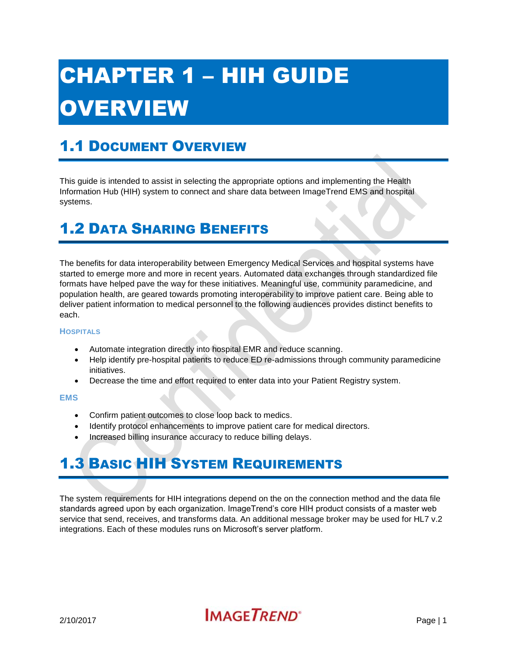# <span id="page-3-0"></span>CHAPTER 1 – HIH GUIDE OVERVIEW

# <span id="page-3-1"></span>1.1 DOCUMENT OVERVIEW

This guide is intended to assist in selecting the appropriate options and implementing the Health Information Hub (HIH) system to connect and share data between ImageTrend EMS and hospital systems.

## <span id="page-3-2"></span>1.2 DATA SHARING BENEFITS

The benefits for data interoperability between Emergency Medical Services and hospital systems have started to emerge more and more in recent years. Automated data exchanges through standardized file formats have helped pave the way for these initiatives. Meaningful use, community paramedicine, and population health, are geared towards promoting interoperability to improve patient care. Being able to deliver patient information to medical personnel to the following audiences provides distinct benefits to each.

#### **HOSPITALS**

- Automate integration directly into hospital EMR and reduce scanning.
- Help identify pre-hospital patients to reduce ED re-admissions through community paramedicine initiatives.
- Decrease the time and effort required to enter data into your Patient Registry system.

#### **EMS**

- Confirm patient outcomes to close loop back to medics.
- Identify protocol enhancements to improve patient care for medical directors.
- Increased billing insurance accuracy to reduce billing delays.

# <span id="page-3-3"></span>1.3 BASIC HIH SYSTEM REQUIREMENTS

The system requirements for HIH integrations depend on the on the connection method and the data file standards agreed upon by each organization. ImageTrend's core HIH product consists of a master web service that send, receives, and transforms data. An additional message broker may be used for HL7 v.2 integrations. Each of these modules runs on Microsoft's server platform.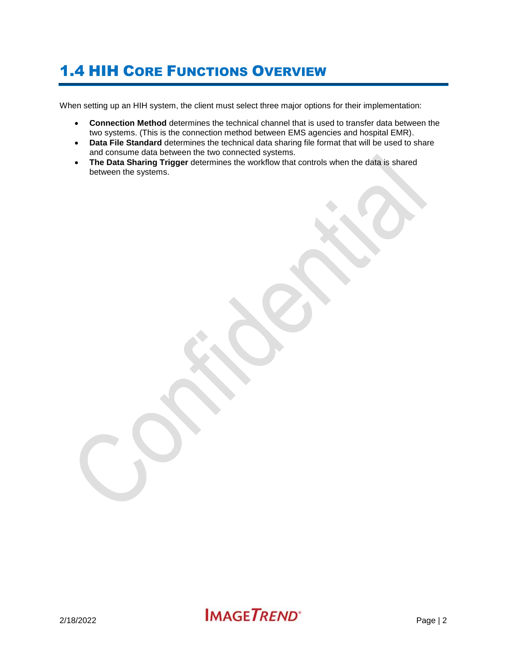# <span id="page-4-0"></span>1.4 HIH CORE FUNCTIONS OVERVIEW

When setting up an HIH system, the client must select three major options for their implementation:

- **Connection Method** determines the technical channel that is used to transfer data between the two systems. (This is the connection method between EMS agencies and hospital EMR).
- **Data File Standard** determines the technical data sharing file format that will be used to share and consume data between the two connected systems.
- **The Data Sharing Trigger** determines the workflow that controls when the data is shared between the systems.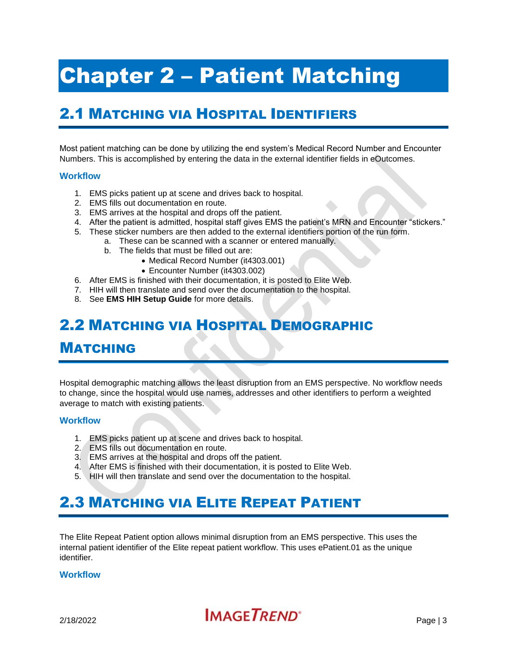# <span id="page-5-0"></span>Chapter 2 – Patient Matching

## <span id="page-5-1"></span>2.1 MATCHING VIA HOSPITAL IDENTIFIERS

Most patient matching can be done by utilizing the end system's Medical Record Number and Encounter Numbers. This is accomplished by entering the data in the external identifier fields in eOutcomes.

### **Workflow**

- 1. EMS picks patient up at scene and drives back to hospital.
- 2. EMS fills out documentation en route.
- 3. EMS arrives at the hospital and drops off the patient.
- 4. After the patient is admitted, hospital staff gives EMS the patient's MRN and Encounter "stickers."
- 5. These sticker numbers are then added to the external identifiers portion of the run form.
	- a. These can be scanned with a scanner or entered manually.
		- b. The fields that must be filled out are:
			- Medical Record Number (it4303.001)
			- Encounter Number (it4303.002)
- 6. After EMS is finished with their documentation, it is posted to Elite Web.
- 7. HIH will then translate and send over the documentation to the hospital.
- 8. See **EMS HIH Setup Guide** for more details.

## <span id="page-5-2"></span>2.2 MATCHING VIA HOSPITAL DEMOGRAPHIC

## MATCHING

Hospital demographic matching allows the least disruption from an EMS perspective. No workflow needs to change, since the hospital would use names, addresses and other identifiers to perform a weighted average to match with existing patients.

#### **Workflow**

- 1. EMS picks patient up at scene and drives back to hospital.
- 2. EMS fills out documentation en route.
- 3. EMS arrives at the hospital and drops off the patient.
- 4. After EMS is finished with their documentation, it is posted to Elite Web.
- 5. HIH will then translate and send over the documentation to the hospital.

## <span id="page-5-3"></span>2.3 MATCHING VIA ELITE REPEAT PATIENT

The Elite Repeat Patient option allows minimal disruption from an EMS perspective. This uses the internal patient identifier of the Elite repeat patient workflow. This uses ePatient.01 as the unique identifier.

#### **Workflow**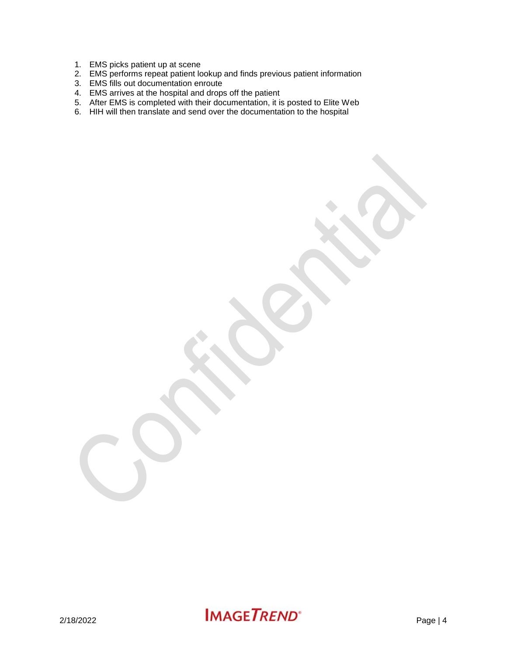- 1. EMS picks patient up at scene
- 2. EMS performs repeat patient lookup and finds previous patient information
- 3. EMS fills out documentation enroute
- 4. EMS arrives at the hospital and drops off the patient
- 5. After EMS is completed with their documentation, it is posted to Elite Web
- 6. HIH will then translate and send over the documentation to the hospital

 $2/18/2022$  **IMAGETREND**<sup>\*</sup> Page | 4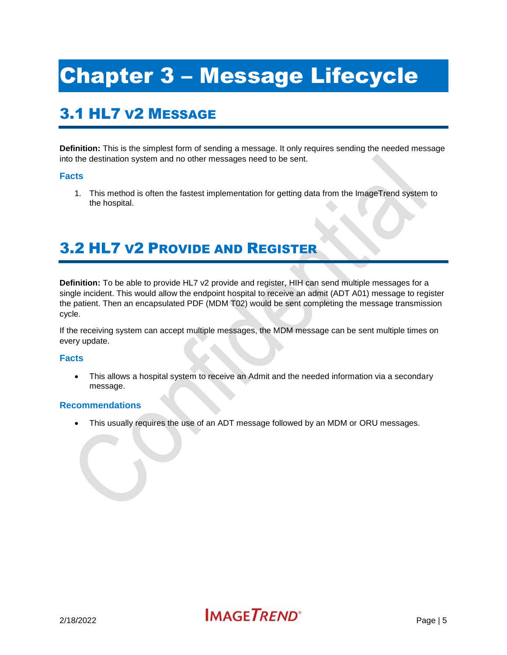# <span id="page-7-0"></span>Chapter 3 – Message Lifecycle

# <span id="page-7-1"></span>3.1 HL7 V2 MESSAGE

**Definition:** This is the simplest form of sending a message. It only requires sending the needed message into the destination system and no other messages need to be sent.

## **Facts**

1. This method is often the fastest implementation for getting data from the ImageTrend system to the hospital.

## <span id="page-7-2"></span>3.2 HL7 V2 PROVIDE AND REGISTER

**Definition:** To be able to provide HL7 v2 provide and register, HIH can send multiple messages for a single incident. This would allow the endpoint hospital to receive an admit (ADT A01) message to register the patient. Then an encapsulated PDF (MDM T02) would be sent completing the message transmission cycle.

If the receiving system can accept multiple messages, the MDM message can be sent multiple times on every update.

### **Facts**

 This allows a hospital system to receive an Admit and the needed information via a secondary message.

### **Recommendations**

This usually requires the use of an ADT message followed by an MDM or ORU messages.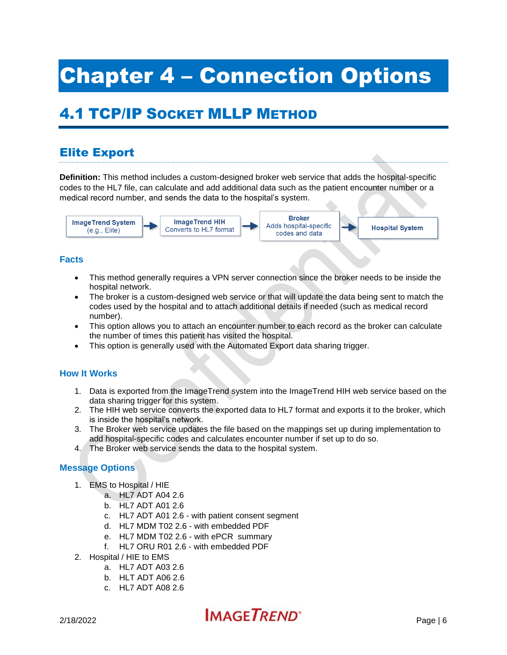# <span id="page-8-0"></span>Chapter 4 – Connection Options

# <span id="page-8-1"></span>4.1 TCP/IP SOCKET MLLP METHOD

## Elite Export

**Definition:** This method includes a custom-designed broker web service that adds the hospital-specific codes to the HL7 file, can calculate and add additional data such as the patient encounter number or a medical record number, and sends the data to the hospital's system.



## **Facts**

- This method generally requires a VPN server connection since the broker needs to be inside the hospital network.
- The broker is a custom-designed web service or that will update the data being sent to match the codes used by the hospital and to attach additional details if needed (such as medical record number).
- This option allows you to attach an encounter number to each record as the broker can calculate the number of times this patient has visited the hospital.
- This option is generally used with the Automated Export data sharing trigger.

## **How It Works**

- 1. Data is exported from the ImageTrend system into the ImageTrend HIH web service based on the data sharing trigger for this system.
- 2. The HIH web service converts the exported data to HL7 format and exports it to the broker, which is inside the hospital's network.
- 3. The Broker web service updates the file based on the mappings set up during implementation to add hospital-specific codes and calculates encounter number if set up to do so.
- 4. The Broker web service sends the data to the hospital system.

## **Message Options**

- 1. EMS to Hospital / HIE
	- a. HL7 ADT A04 2.6
	- b. HL7 ADT A01 2.6
	- c. HL7 ADT A01 2.6 with patient consent segment
	- d. HL7 MDM T02 2.6 with embedded PDF
	- e. HL7 MDM T02 2.6 with ePCR summary
	- f. HL7 ORU R01 2.6 with embedded PDF
- 2. Hospital / HIE to EMS
	- a. HL7 ADT A03 2.6
	- b. HLT ADT A06 2.6
	- c. HL7 ADT A08 2.6

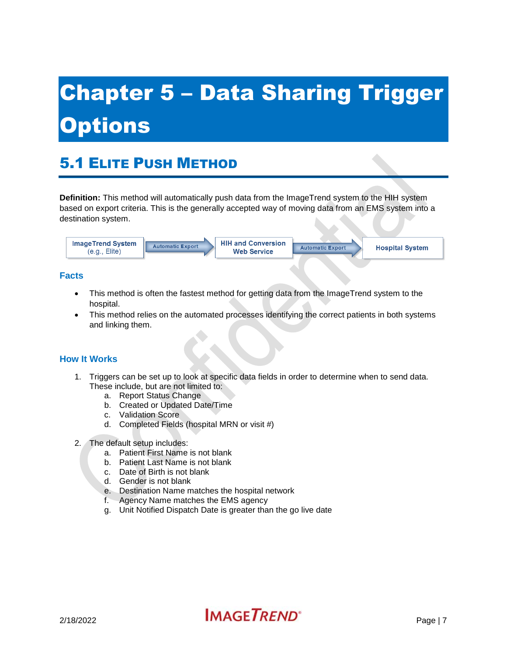# <span id="page-9-0"></span>Chapter 5 – Data Sharing Trigger **Options**

# <span id="page-9-1"></span>5.1 ELITE PUSH METHOD

**Definition:** This method will automatically push data from the ImageTrend system to the HIH system based on export criteria. This is the generally accepted way of moving data from an EMS system into a destination system.



## **Facts**

- This method is often the fastest method for getting data from the ImageTrend system to the hospital.
- This method relies on the automated processes identifying the correct patients in both systems and linking them.

## **How It Works**

- 1. Triggers can be set up to look at specific data fields in order to determine when to send data. These include, but are not limited to:
	- a. Report Status Change
	- b. Created or Updated Date/Time
	- c. Validation Score
	- d. Completed Fields (hospital MRN or visit #)
- 2. The default setup includes:
	- a. Patient First Name is not blank
	- b. Patient Last Name is not blank
	- c. Date of Birth is not blank
	- d. Gender is not blank
	- e. Destination Name matches the hospital network
	- f. Agency Name matches the EMS agency
	- g. Unit Notified Dispatch Date is greater than the go live date

# $2/18/2022$  Page | 7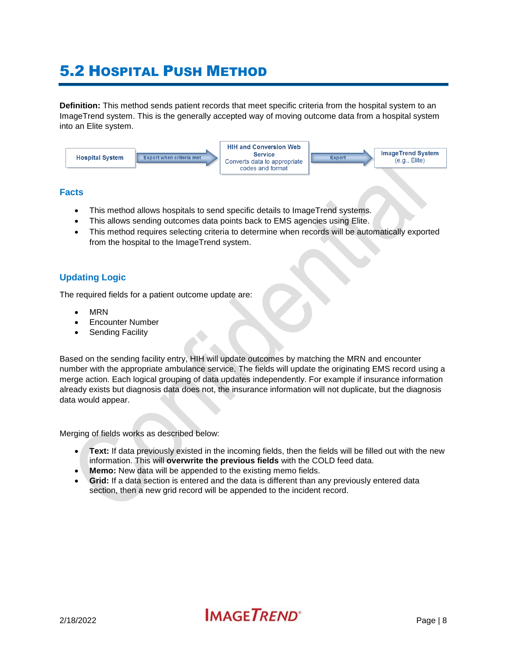## <span id="page-10-0"></span>5.2 HOSPITAL PUSH METHOD

**Definition:** This method sends patient records that meet specific criteria from the hospital system to an ImageTrend system. This is the generally accepted way of moving outcome data from a hospital system into an Elite system.



### **Facts**

- This method allows hospitals to send specific details to ImageTrend systems.
- This allows sending outcomes data points back to EMS agencies using Elite.
- This method requires selecting criteria to determine when records will be automatically exported from the hospital to the ImageTrend system.

## **Updating Logic**

The required fields for a patient outcome update are:

- MRN
- Encounter Number
- Sending Facility

Based on the sending facility entry, HIH will update outcomes by matching the MRN and encounter number with the appropriate ambulance service. The fields will update the originating EMS record using a merge action. Each logical grouping of data updates independently. For example if insurance information already exists but diagnosis data does not, the insurance information will not duplicate, but the diagnosis data would appear.

Merging of fields works as described below:

- **Text:** If data previously existed in the incoming fields, then the fields will be filled out with the new information. This will **overwrite the previous fields** with the COLD feed data.
- **Memo:** New data will be appended to the existing memo fields.
- **Grid:** If a data section is entered and the data is different than any previously entered data section, then a new grid record will be appended to the incident record.